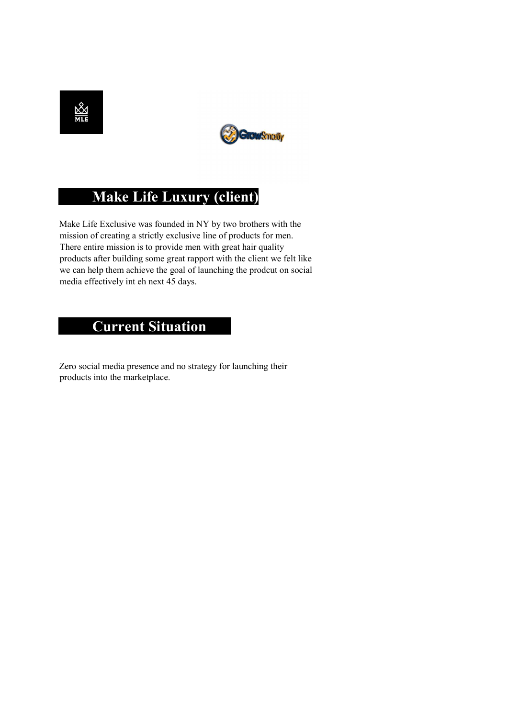



# Make Life Luxury (client)

 Make Life Exclusive was founded in NY by two brothers with the mission of creating a strictly exclusive line of products for men. There entire mission is to provide men with great hair quality products after building some great rapport with the client we felt like we can help them achieve the goal of launching the prodcut on social media effectively int eh next 45 days.

# **Current Situation**

 Zero social media presence and no strategy for launching their products into the marketplace.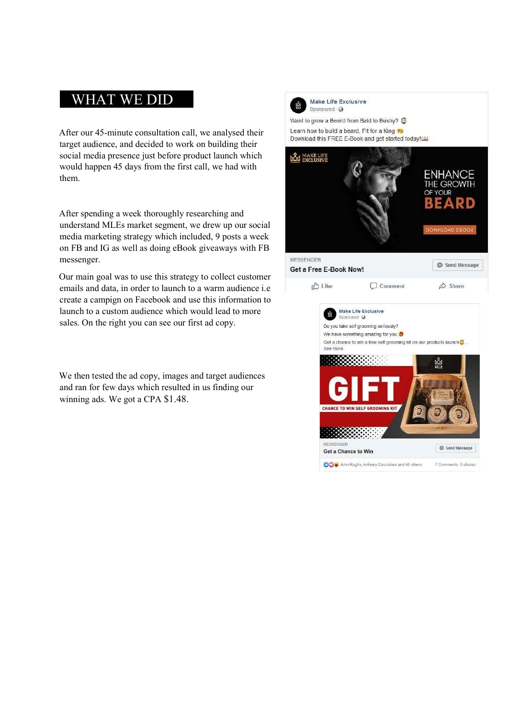# WHAT WE DID

After our 45-minute consultation call, we analysed their target audience, and decided to work on building their social media presence just before product launch which would happen 45 days from the first call, we had with them.

After spending a week thoroughly researching and understand MLEs market segment, we drew up our social media marketing strategy which included, 9 posts a week on FB and IG as well as doing eBook giveaways with FB messenger.

Our main goal was to use this strategy to collect customer emails and data, in order to launch to a warm audience i.e create a campign on Facebook and use this information to launch to a custom audience which would lead to more sales. On the right you can see our first ad copy.

We then tested the ad copy, images and target audiences and ran for few days which resulted in us finding our winning ads. We got a CPA \$1.48.



Make Life Exclusive Sponsored Q

Want to grow a Beard from Bald to Bushy? Learn how to build a beard. Fit for a King Download this FREE E-Book and get started today!

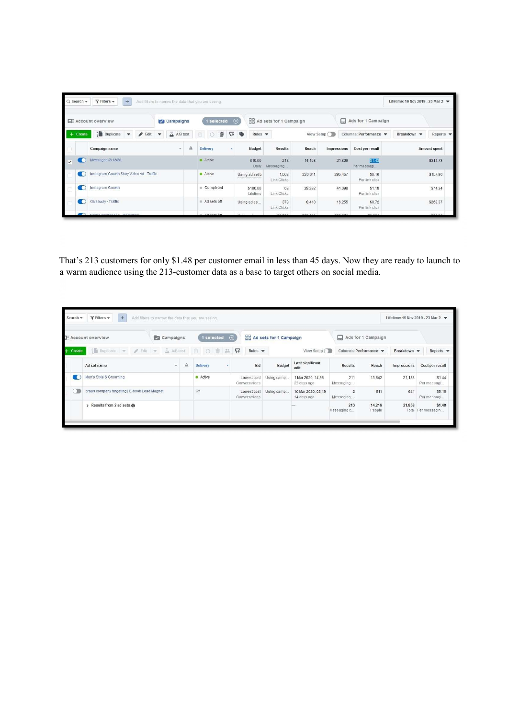|              | $Q$ Search $\tau$ | $\blacktriangledown$ Filters $\blacktriangledown$<br>$+$ | Add filters to narrow the data that you are seeing. |   |                      |                           |                  |                            |                                  |                    |                       |        |                          | Lifetime: 19 Nov 2019 - 23 Mar 2 |                   |
|--------------|-------------------|----------------------------------------------------------|-----------------------------------------------------|---|----------------------|---------------------------|------------------|----------------------------|----------------------------------|--------------------|-----------------------|--------|--------------------------|----------------------------------|-------------------|
|              |                   | <b>EE</b> Account overview                               | Campaigns                                           |   | 1 selected $\otimes$ |                           |                  |                            | <b>BB</b> Ad sets for 1 Campaign |                    |                       |        | Ads for 1 Campaign       |                                  |                   |
|              | $+$ Create        | Duplicate<br>$\blacktriangleright$ Edit                  | A/B test<br>$\blacktriangledown$                    |   | û<br>$\circ$         | $\heartsuit$ $\heartsuit$ |                  | Rules $\blacktriangledown$ |                                  | View Setup (       |                       |        | Columns: Performance     | Breakdown •                      | Reports $\bullet$ |
|              |                   | Campaign name                                            | ÷.                                                  | А | Delivery             | $\Delta$                  | Budget           |                            | <b>Results</b>                   | Reach              | Impressions           |        | Cost per result          |                                  | Amount spent      |
| $\checkmark$ | c.                | Messages-2/12/20                                         | Active                                              |   | \$10.00              | Daily                     | 213<br>Messaging | 14,198                     |                                  | 21.829             | \$1.48<br>Per messagi |        | \$314.73                 |                                  |                   |
|              | G                 | Instagram Growth Story Video Ad - Traffic                |                                                     |   | <b>a</b> Active      |                           | Using ad set b   |                            | 1,563<br>Link Clicks             | 220,611<br>295,457 |                       |        | \$0.10<br>Per link dick  | \$157.96                         |                   |
|              | О                 | Instagram Growth                                         |                                                     |   | Completed            |                           |                  | \$100.00<br>Lifetime       | 63<br>Link Clicks                | 39,392             | 41,098                |        | \$1.18<br>Per link click | \$74.34                          |                   |
|              | ю                 | Giveaway - Traffic                                       |                                                     |   | Ad sets off          |                           | Using ad se      |                            | 373<br>Link Clicks               | 8,410              |                       | 16,255 | \$0.72<br>Per link click |                                  | \$268.37          |
|              |                   | Personal contractors of the former                       |                                                     |   |                      |                           |                  |                            |                                  |                    |                       |        |                          |                                  |                   |

That's 213 customers for only \$1.48 per customer email in less than 45 days. Now they are ready to launch to a warm audience using the 213-customer data as a base to target others on social media.

|                                        |                                              | Add filters to narrow the data that you are seeing. |   |                      |      |                              |                                  |                                   |                      |                    |             |                              |  |
|----------------------------------------|----------------------------------------------|-----------------------------------------------------|---|----------------------|------|------------------------------|----------------------------------|-----------------------------------|----------------------|--------------------|-------------|------------------------------|--|
| <b>E</b> Account overview<br>Campaigns |                                              |                                                     |   | 1 selected $\otimes$ |      |                              | <b>HH</b> Ad sets for 1 Campaign |                                   | 口                    | Ads for 1 Campaign |             |                              |  |
| $+$ Create                             | Duplicate = Edit = ABtest                    |                                                     |   | 0 面<br>面             | 20 0 | Rules $\blacktriangledown$   | View Setup                       |                                   | Columns: Performance |                    | Breakdown • | Reports $\blacktriangledown$ |  |
|                                        | Ad set name                                  | $\overline{\phantom{a}}$                            | A | <b>Delivery</b>      | ٠    | Bid                          | Budget                           | Last significant<br>edit          | <b>Results</b>       | Reach              | Impressions | Cost per result              |  |
|                                        | Men's Style & Grooming                       |                                                     |   | Active               |      | Lowest cost<br>Conversations | Using camp                       | 1 Mar 2020, 14:56<br>23 days ago  | 211<br>Messaging     | 13,842             | 21,188      | \$1.44<br>Per messagi        |  |
|                                        | braun company targeting   E-book Lead Magnet |                                                     |   | Off                  |      | Lowest cost<br>Conversations | Using camp                       | 10 Mar 2020, 02:19<br>14 days ago | 2<br>Messaging       | 511                | 641         | \$5.15<br>Per messagi        |  |
|                                        | Results from 2 ad sets @                     |                                                     |   |                      |      |                              |                                  |                                   | 213<br>Messaging c   | 14,216<br>People   | 21,858      | \$1.48<br>Total Per messagin |  |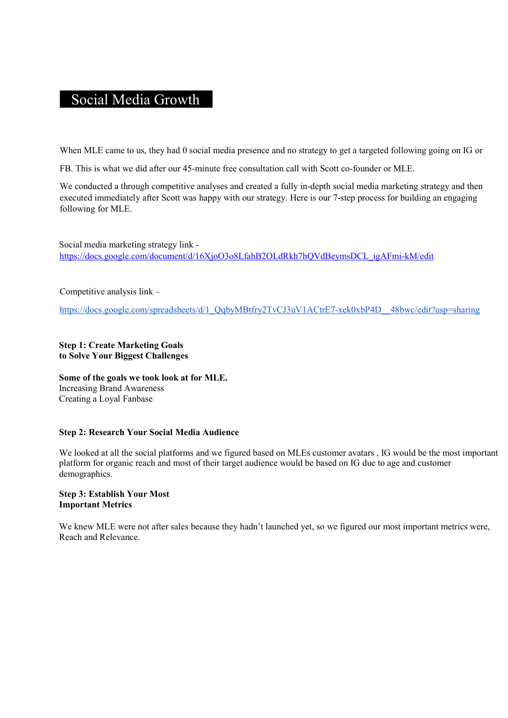# Social Media Growth

When MLE came to us, they had 0 social media presence and no strategy to get a targeted following going on IG or

FB. This is what we did after our 45-minute free consultation call with Scott co-founder or MLE.

We conducted a through competitive analyses and created a fully in-depth social media marketing strategy and then executed immediately after Scott was happy with our strategy. Here is our 7-step process for building an engaging following for MLE.

Social media marketing strategy link https://docs.google.com/document/d/16XjoO3o8LfahB2OLdRkh7hQVdBeymsDCL\_igAFmi-kM/edit

Competitive analysis link –

https://docs.google.com/spreadsheets/d/1\_QqbyMBtfry2TvCJ3uV1ACtrE7-xek0xbP4D\_\_48bwc/edit?usp=sharing

## Step 1: Create Marketing Goals to Solve Your Biggest Challenges

Some of the goals we took look at for MLE. Increasing Brand Awareness Creating a Loyal Fanbase

# Step 2: Research Your Social Media Audience

We looked at all the social platforms and we figured based on MLEs customer avatars , IG would be the most important platform for organic reach and most of their target audience would be based on IG due to age and customer demographics.

#### Step 3: Establish Your Most Important Metrics

We knew MLE were not after sales because they hadn't launched yet, so we figured our most important metrics were, Reach and Relevance.